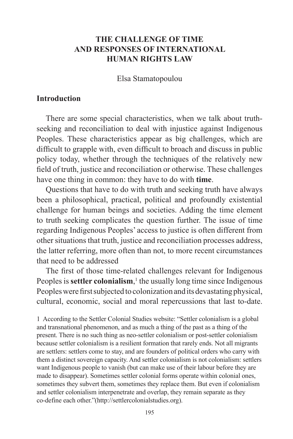### **THE CHALLENGE OF TIME AND RESPONSES OF INTERNATIONAL HUMAN RIGHTS LAW**

#### Elsa Stamatopoulou

#### **Introduction**

There are some special characteristics, when we talk about truthseeking and reconciliation to deal with injustice against Indigenous Peoples. These characteristics appear as big challenges, which are difficult to grapple with, even difficult to broach and discuss in public policy today, whether through the techniques of the relatively new field of truth, justice and reconciliation or otherwise. These challenges have one thing in common: they have to do with **time**.

Questions that have to do with truth and seeking truth have always been a philosophical, practical, political and profoundly existential challenge for human beings and societies. Adding the time element to truth seeking complicates the question further. The issue of time regarding Indigenous Peoples' access to justice is often different from other situations that truth, justice and reconciliation processes address, the latter referring, more often than not, to more recent circumstances that need to be addressed

The first of those time-related challenges relevant for Indigenous Peoples is **settler colonialism**, 1 the usually long time since Indigenous Peoples were first subjected to colonization and its devastating physical, cultural, economic, social and moral repercussions that last to-date.

1 According to the Settler Colonial Studies website: "Settler colonialism is a global and transnational phenomenon, and as much a thing of the past as a thing of the present. There is no such thing as neo-settler colonialism or post-settler colonialism because settler colonialism is a resilient formation that rarely ends. Not all migrants are settlers: settlers come to stay, and are founders of political orders who carry with them a distinct sovereign capacity. And settler colonialism is not colonialism: settlers want Indigenous people to vanish (but can make use of their labour before they are made to disappear). Sometimes settler colonial forms operate within colonial ones, sometimes they subvert them, sometimes they replace them. But even if colonialism and settler colonialism interpenetrate and overlap, they remain separate as they co-define each other."(http://settlercolonialstudies.org).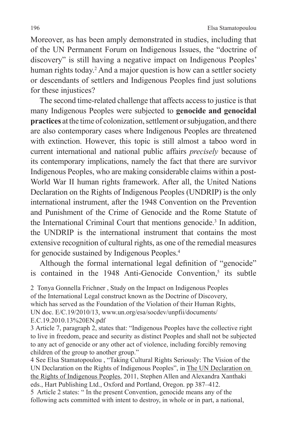Moreover, as has been amply demonstrated in studies, including that of the UN Permanent Forum on Indigenous Issues, the "doctrine of discovery" is still having a negative impact on Indigenous Peoples' human rights today.<sup>2</sup> And a major question is how can a settler society or descendants of settlers and Indigenous Peoples find just solutions for these injustices?

The second time-related challenge that affects access to justice is that many Indigenous Peoples were subjected to **genocide and genocidal practices** at the time of colonization, settlement or subjugation, and there are also contemporary cases where Indigenous Peoples are threatened with extinction. However, this topic is still almost a taboo word in current international and national public affairs *precisely* because of its contemporary implications, namely the fact that there are survivor Indigenous Peoples, who are making considerable claims within a post-World War II human rights framework. After all, the United Nations Declaration on the Rights of Indigenous Peoples (UNDRIP) is the only international instrument, after the 1948 Convention on the Prevention and Punishment of the Crime of Genocide and the Rome Statute of the International Criminal Court that mentions genocide.<sup>3</sup> In addition, the UNDRIP is the international instrument that contains the most extensive recognition of cultural rights, as one of the remedial measures for genocide sustained by Indigenous Peoples.4

Although the formal international legal definition of "genocide" is contained in the  $1948$  Anti-Genocide Convention,<sup>5</sup> its subtle

2 Tonya Gonnella Frichner , Study on the Impact on Indigenous Peoples of the International Legal construct known as the Doctrine of Discovery, which has served as the Foundation of the Violation of their Human Rights, UN doc. E/C.19/2010/13, www.un.org/esa/socdev/unpfii/documents/ E.C.19.2010.13%20EN.pdf

3 Article 7, paragraph 2, states that: "Indigenous Peoples have the collective right to live in freedom, peace and security as distinct Peoples and shall not be subjected to any act of genocide or any other act of violence, including forcibly removing children of the group to another group."

4 See Elsa Stamatopoulou , "Taking Cultural Rights Seriously: The Vision of the UN Declaration on the Rights of Indigenous Peoples", in The UN Declaration on the Rights of Indigenous Peoples, 2011, Stephen Allen and Alexandra Xanthaki eds., Hart Publishing Ltd., Oxford and Portland, Oregon. pp 387–412.

5 Article 2 states: " In the present Convention, genocide means any of the following acts committed with intent to destroy, in whole or in part, a national,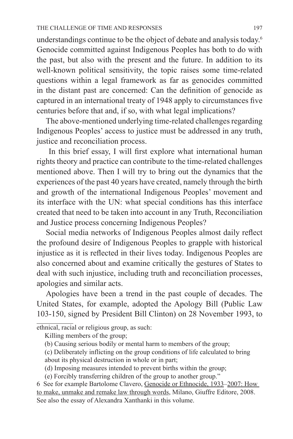understandings continue to be the object of debate and analysis today.6 Genocide committed against Indigenous Peoples has both to do with the past, but also with the present and the future. In addition to its well-known political sensitivity, the topic raises some time-related questions within a legal framework as far as genocides committed in the distant past are concerned: Can the definition of genocide as captured in an international treaty of 1948 apply to circumstances five centuries before that and, if so, with what legal implications?

The above-mentioned underlying time-related challenges regarding Indigenous Peoples' access to justice must be addressed in any truth, justice and reconciliation process.

 In this brief essay, I will first explore what international human rights theory and practice can contribute to the time-related challenges mentioned above. Then I will try to bring out the dynamics that the experiences of the past 40 years have created, namely through the birth and growth of the international Indigenous Peoples' movement and its interface with the UN: what special conditions has this interface created that need to be taken into account in any Truth, Reconciliation and Justice process concerning Indigenous Peoples?

Social media networks of Indigenous Peoples almost daily reflect the profound desire of Indigenous Peoples to grapple with historical injustice as it is reflected in their lives today. Indigenous Peoples are also concerned about and examine critically the gestures of States to deal with such injustice, including truth and reconciliation processes, apologies and similar acts.

Apologies have been a trend in the past couple of decades. The United States, for example, adopted the Apology Bill (Public Law 103-150, signed by President Bill Clinton) on 28 November 1993, to

- (c) Deliberately inflicting on the group conditions of life calculated to bring about its physical destruction in whole or in part;
- (d) Imposing measures intended to prevent births within the group;

ethnical, racial or religious group, as such:

Killing members of the group;

<sup>(</sup>b) Causing serious bodily or mental harm to members of the group;

<sup>(</sup>e) Forcibly transferring children of the group to another group."

<sup>6</sup> See for example Bartolome Clavero, Genocide or Ethnocide, 1933–2007: How to make, unmake and remake law through words, Milano, Giuffre Editore, 2008. See also the essay of Alexandra Xanthanki in this volume.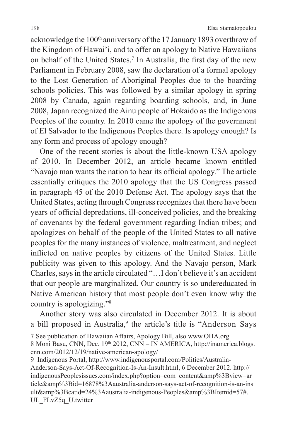acknowledge the 100<sup>th</sup> anniversary of the 17 January 1893 overthrow of the Kingdom of Hawai'i, and to offer an apology to Native Hawaiians on behalf of the United States.7 In Australia, the first day of the new Parliament in February 2008, saw the declaration of a formal apology to the Lost Generation of Aboriginal Peoples due to the boarding schools policies. This was followed by a similar apology in spring 2008 by Canada, again regarding boarding schools, and, in June 2008, Japan recognized the Ainu people of Hokaido as the Indigenous Peoples of the country. In 2010 came the apology of the government of El Salvador to the Indigenous Peoples there. Is apology enough? Is any form and process of apology enough?

One of the recent stories is about the little-known USA apology of 2010. In December 2012, an article became known entitled "Navajo man wants the nation to hear its official apology." The article essentially critiques the 2010 apology that the US Congress passed in paragraph 45 of the 2010 Defense Act. The apology says that the United States, acting through Congress recognizes that there have been years of official depredations, ill-conceived policies, and the breaking of covenants by the federal government regarding Indian tribes; and apologizes on behalf of the people of the United States to all native peoples for the many instances of violence, maltreatment, and neglect inflicted on native peoples by citizens of the United States. Little publicity was given to this apology. And the Navajo person, Mark Charles, says in the article circulated "…I don't believe it's an accident that our people are marginalized. Our country is so undereducated in Native American history that most people don't even know why the country is apologizing."8

Another story was also circulated in December 2012. It is about a bill proposed in Australia,<sup>9</sup> the article's title is "Anderson Says

7 See publication of Hawaiian Affairs, Apology Bill, also www.OHA.org

9 Indigenous Portal, http://www.indigenousportal.com/Politics/Australia-Anderson-Says-Act-Of-Recognition-Is-An-Insult.html, 6 December 2012. http:// indigenousPeoplesissues.com/index.php?option=com\_content&amp%3Bview=ar ticle&amp%3Bid=16878%3Aaustralia-anderson-says-act-of-recognition-is-an-ins ult&amp%3Bcatid=24%3Aaustralia-indigenous-Peoples&amp%3BItemid=57#. UL\_FLvZ5q\_U.twitter

<sup>8</sup> Moni Basu, CNN, Dec. 19<sup>th</sup> 2012, CNN – IN AMERICA, http://inamerica.blogs. cnn.com/2012/12/19/native-american-apology/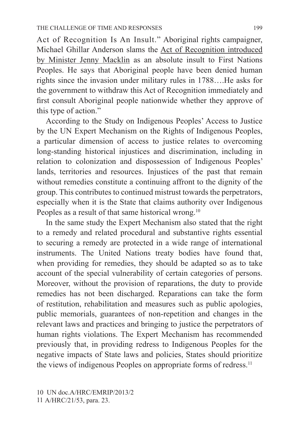Act of Recognition Is An Insult." Aboriginal rights campaigner, Michael Ghillar Anderson slams the Act of Recognition introduced by Minister Jenny Macklin as an absolute insult to First Nations Peoples. He says that Aboriginal people have been denied human rights since the invasion under military rules in 1788….He asks for the government to withdraw this Act of Recognition immediately and first consult Aboriginal people nationwide whether they approve of this type of action."

According to the Study on Indigenous Peoples' Access to Justice by the UN Expert Mechanism on the Rights of Indigenous Peoples, a particular dimension of access to justice relates to overcoming long-standing historical injustices and discrimination, including in relation to colonization and dispossession of Indigenous Peoples' lands, territories and resources. Injustices of the past that remain without remedies constitute a continuing affront to the dignity of the group. This contributes to continued mistrust towards the perpetrators, especially when it is the State that claims authority over Indigenous Peoples as a result of that same historical wrong.<sup>10</sup>

In the same study the Expert Mechanism also stated that the right to a remedy and related procedural and substantive rights essential to securing a remedy are protected in a wide range of international instruments. The United Nations treaty bodies have found that, when providing for remedies, they should be adapted so as to take account of the special vulnerability of certain categories of persons. Moreover, without the provision of reparations, the duty to provide remedies has not been discharged. Reparations can take the form of restitution, rehabilitation and measures such as public apologies, public memorials, guarantees of non-repetition and changes in the relevant laws and practices and bringing to justice the perpetrators of human rights violations. The Expert Mechanism has recommended previously that, in providing redress to Indigenous Peoples for the negative impacts of State laws and policies, States should prioritize the views of indigenous Peoples on appropriate forms of redress.<sup>11</sup>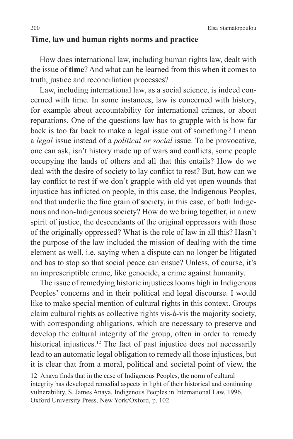#### **Time, law and human rights norms and practice**

How does international law, including human rights law, dealt with the issue of **time**? And what can be learned from this when it comes to truth, justice and reconciliation processes?

Law, including international law, as a social science, is indeed concerned with time. In some instances, law is concerned with history, for example about accountability for international crimes, or about reparations. One of the questions law has to grapple with is how far back is too far back to make a legal issue out of something? I mean a *legal* issue instead of a *political or social* issue. To be provocative, one can ask, isn't history made up of wars and conflicts, some people occupying the lands of others and all that this entails? How do we deal with the desire of society to lay conflict to rest? But, how can we lay conflict to rest if we don't grapple with old yet open wounds that injustice has inflicted on people, in this case, the Indigenous Peoples, and that underlie the fine grain of society, in this case, of both Indigenous and non-Indigenous society? How do we bring together, in a new spirit of justice, the descendants of the original oppressors with those of the originally oppressed? What is the role of law in all this? Hasn't the purpose of the law included the mission of dealing with the time element as well, i.e. saying when a dispute can no longer be litigated and has to stop so that social peace can ensue? Unless, of course, it's an imprescriptible crime, like genocide, a crime against humanity.

The issue of remedying historic injustices looms high in Indigenous Peoples' concerns and in their political and legal discourse. I would like to make special mention of cultural rights in this context. Groups claim cultural rights as collective rights vis-à-vis the majority society, with corresponding obligations, which are necessary to preserve and develop the cultural integrity of the group, often in order to remedy historical injustices.<sup>12</sup> The fact of past injustice does not necessarily lead to an automatic legal obligation to remedy all those injustices, but it is clear that from a moral, political and societal point of view, the

12 Anaya finds that in the case of Indigenous Peoples, the norm of cultural integrity has developed remedial aspects in light of their historical and continuing vulnerability. S. James Anaya, Indigenous Peoples in International Law, 1996, Oxford University Press, New York/Oxford, p. 102.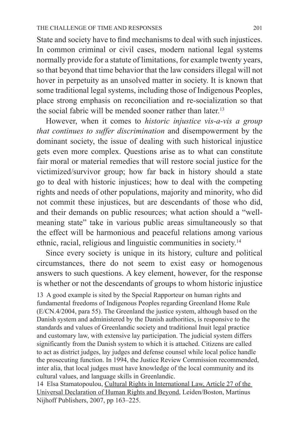State and society have to find mechanisms to deal with such injustices. In common criminal or civil cases, modern national legal systems normally provide for a statute of limitations, for example twenty years, so that beyond that time behavior that the law considers illegal will not hover in perpetuity as an unsolved matter in society. It is known that some traditional legal systems, including those of Indigenous Peoples, place strong emphasis on reconciliation and re-socialization so that the social fabric will be mended sooner rather than later.<sup>13</sup>

However, when it comes to *historic injustice vis-a-vis a group that continues to suffer discrimination* and disempowerment by the dominant society, the issue of dealing with such historical injustice gets even more complex. Questions arise as to what can constitute fair moral or material remedies that will restore social justice for the victimized/survivor group; how far back in history should a state go to deal with historic injustices; how to deal with the competing rights and needs of other populations, majority and minority, who did not commit these injustices, but are descendants of those who did, and their demands on public resources; what action should a "wellmeaning state" take in various public areas simultaneously so that the effect will be harmonious and peaceful relations among various ethnic, racial, religious and linguistic communities in society.14

Since every society is unique in its history, culture and political circumstances, there do not seem to exist easy or homogenous answers to such questions. A key element, however, for the response is whether or not the descendants of groups to whom historic injustice

13 A good example is sited by the Special Rapporteur on human rights and fundamental freedoms of Indigenous Peoples regarding Greenland Home Rule (E/CN.4/2004, para 55). The Greenland the justice system, although based on the Danish system and administered by the Danish authorities, is responsive to the standards and values of Greenlandic society and traditional Inuit legal practice and customary law, with extensive lay participation. The judicial system differs significantly from the Danish system to which it is attached. Citizens are called to act as district judges, lay judges and defense counsel while local police handle the prosecuting function. In 1994, the Justice Review Commission recommended, inter alia, that local judges must have knowledge of the local community and its cultural values, and language skills in Greenlandic.

14 Elsa Stamatopoulou, Cultural Rights in International Law, Article 27 of the Universal Declaration of Human Rights and Beyond, Leiden/Boston, Martinus Nijhoff Publishers, 2007, pp 163–225.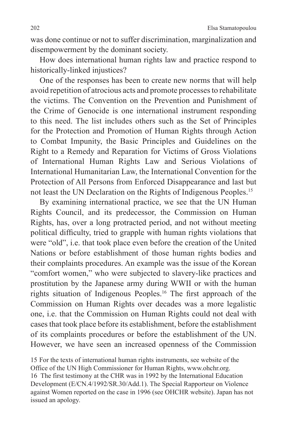was done continue or not to suffer discrimination, marginalization and disempowerment by the dominant society.

How does international human rights law and practice respond to historically-linked injustices?

One of the responses has been to create new norms that will help avoid repetition of atrocious acts and promote processes to rehabilitate the victims. The Convention on the Prevention and Punishment of the Crime of Genocide is one international instrument responding to this need. The list includes others such as the Set of Principles for the Protection and Promotion of Human Rights through Action to Combat Impunity, the Basic Principles and Guidelines on the Right to a Remedy and Reparation for Victims of Gross Violations of International Human Rights Law and Serious Violations of International Humanitarian Law, the International Convention for the Protection of All Persons from Enforced Disappearance and last but not least the UN Declaration on the Rights of Indigenous Peoples.15

By examining international practice, we see that the UN Human Rights Council, and its predecessor, the Commission on Human Rights, has, over a long protracted period, and not without meeting political difficulty, tried to grapple with human rights violations that were "old", i.e. that took place even before the creation of the United Nations or before establishment of those human rights bodies and their complaints procedures. An example was the issue of the Korean "comfort women," who were subjected to slavery-like practices and prostitution by the Japanese army during WWII or with the human rights situation of Indigenous Peoples.16 The first approach of the Commission on Human Rights over decades was a more legalistic one, i.e. that the Commission on Human Rights could not deal with cases that took place before its establishment, before the establishment of its complaints procedures or before the establishment of the UN. However, we have seen an increased openness of the Commission

15 For the texts of international human rights instruments, see website of the Office of the UN High Commissioner for Human Rights, www.ohchr.org. 16 The first testimony at the CHR was in 1992 by the International Education Development (E/CN.4/1992/SR.30/Add.1). The Special Rapporteur on Violence against Women reported on the case in 1996 (see OHCHR website). Japan has not issued an apology.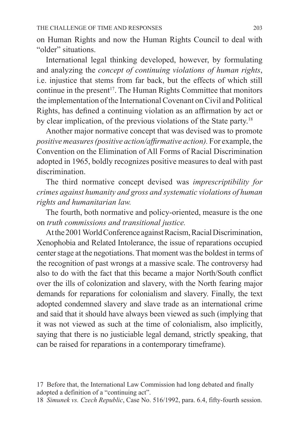on Human Rights and now the Human Rights Council to deal with "older" situations.

International legal thinking developed, however, by formulating and analyzing the *concept of continuing violations of human rights*, i.e. injustice that stems from far back, but the effects of which still continue in the present<sup>17</sup>. The Human Rights Committee that monitors the implementation of the International Covenant on Civil and Political Rights, has defined a continuing violation as an affirmation by act or by clear implication, of the previous violations of the State party.18

Another major normative concept that was devised was to promote *positive measures (positive action/affirmative action).* For example, the Convention on the Elimination of All Forms of Racial Discrimination adopted in 1965, boldly recognizes positive measures to deal with past discrimination.

The third normative concept devised was *imprescriptibility for crimes against humanity and gross and systematic violations of human rights and humanitarian law.*

The fourth, both normative and policy-oriented, measure is the one on *truth commissions and transitional justice.*

At the 2001 World Conference against Racism, Racial Discrimination, Xenophobia and Related Intolerance, the issue of reparations occupied center stage at the negotiations. That moment was the boldest in terms of the recognition of past wrongs at a massive scale. The controversy had also to do with the fact that this became a major North/South conflict over the ills of colonization and slavery, with the North fearing major demands for reparations for colonialism and slavery. Finally, the text adopted condemned slavery and slave trade as an international crime and said that it should have always been viewed as such (implying that it was not viewed as such at the time of colonialism, also implicitly, saying that there is no justiciable legal demand, strictly speaking, that can be raised for reparations in a contemporary timeframe).

17 Before that, the International Law Commission had long debated and finally adopted a definition of a "continuing act".

18 *Simunek vs. Czech Republic*, Case No. 516/1992, para. 6.4, fifty-fourth session.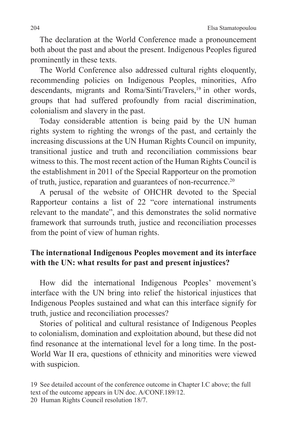The declaration at the World Conference made a pronouncement both about the past and about the present. Indigenous Peoples figured prominently in these texts.

The World Conference also addressed cultural rights eloquently, recommending policies on Indigenous Peoples, minorities, Afro descendants, migrants and Roma/Sinti/Travelers,<sup>19</sup> in other words, groups that had suffered profoundly from racial discrimination, colonialism and slavery in the past.

Today considerable attention is being paid by the UN human rights system to righting the wrongs of the past, and certainly the increasing discussions at the UN Human Rights Council on impunity, transitional justice and truth and reconciliation commissions bear witness to this. The most recent action of the Human Rights Council is the establishment in 2011 of the Special Rapporteur on the promotion of truth, justice, reparation and guarantees of non-recurrence.<sup>20</sup>

A perusal of the website of OHCHR devoted to the Special Rapporteur contains a list of 22 "core international instruments relevant to the mandate", and this demonstrates the solid normative framework that surrounds truth, justice and reconciliation processes from the point of view of human rights.

# **The international Indigenous Peoples movement and its interface with the UN: what results for past and present injustices?**

How did the international Indigenous Peoples' movement's interface with the UN bring into relief the historical injustices that Indigenous Peoples sustained and what can this interface signify for truth, justice and reconciliation processes?

Stories of political and cultural resistance of Indigenous Peoples to colonialism, domination and exploitation abound, but these did not find resonance at the international level for a long time. In the post-World War II era, questions of ethnicity and minorities were viewed with suspicion.

<sup>19</sup> See detailed account of the conference outcome in Chapter I.C above; the full text of the outcome appears in UN doc. A/CONF.189/12. 20 Human Rights Council resolution 18/7.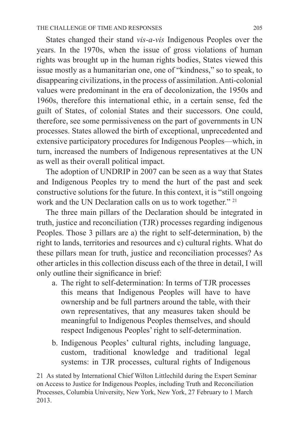States changed their stand *vis-a-vis* Indigenous Peoples over the years. In the 1970s, when the issue of gross violations of human rights was brought up in the human rights bodies, States viewed this issue mostly as a humanitarian one, one of "kindness," so to speak, to disappearing civilizations, in the process of assimilation. Anti-colonial values were predominant in the era of decolonization, the 1950s and 1960s, therefore this international ethic, in a certain sense, fed the guilt of States, of colonial States and their successors. One could, therefore, see some permissiveness on the part of governments in UN processes. States allowed the birth of exceptional, unprecedented and extensive participatory procedures for Indigenous Peoples—which, in turn, increased the numbers of Indigenous representatives at the UN as well as their overall political impact.

The adoption of UNDRIP in 2007 can be seen as a way that States and Indigenous Peoples try to mend the hurt of the past and seek constructive solutions for the future. In this context, it is "still ongoing work and the UN Declaration calls on us to work together." 21

The three main pillars of the Declaration should be integrated in truth, justice and reconciliation (TJR) processes regarding indigenous Peoples. Those 3 pillars are a) the right to self-determination, b) the right to lands, territories and resources and c) cultural rights. What do these pillars mean for truth, justice and reconciliation processes? As other articles in this collection discuss each of the three in detail, I will only outline their significance in brief:

- a. The right to self-determination: In terms of TJR processes this means that Indigenous Peoples will have to have ownership and be full partners around the table, with their own representatives, that any measures taken should be meaningful to Indigenous Peoples themselves, and should respect Indigenous Peoples' right to self-determination.
- b. Indigenous Peoples' cultural rights, including language, custom, traditional knowledge and traditional legal systems: in TJR processes, cultural rights of Indigenous

21 As stated by International Chief Wilton Littlechild during the Expert Seminar on Access to Justice for Indigenous Peoples, including Truth and Reconciliation Processes, Columbia University, New York, New York, 27 February to 1 March 2013.